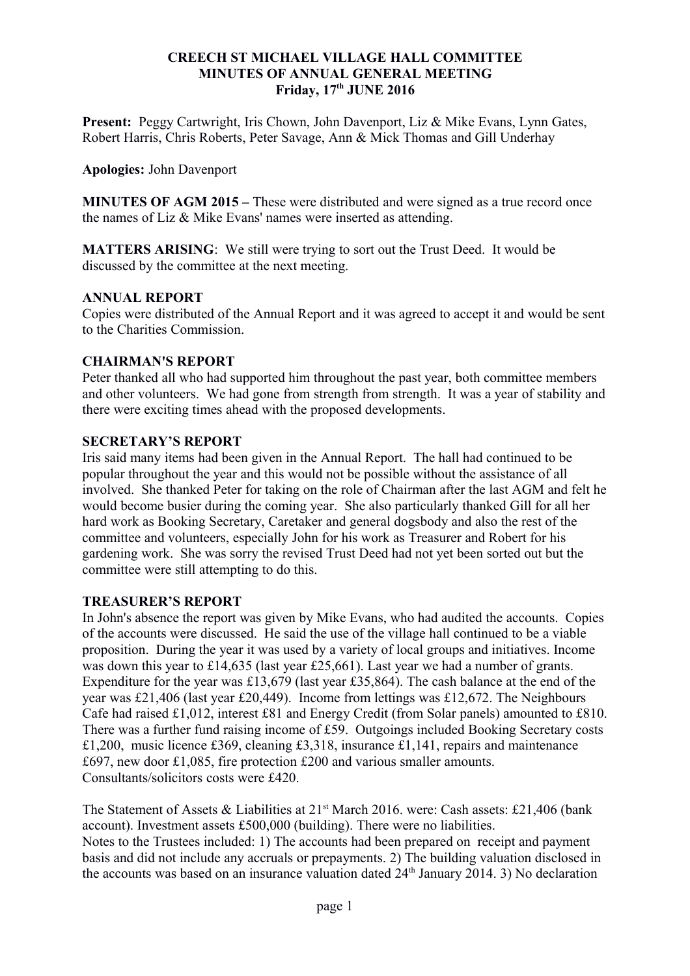#### **CREECH ST MICHAEL VILLAGE HALL COMMITTEE MINUTES OF ANNUAL GENERAL MEETING Friday, 17th JUNE 2016**

**Present:** Peggy Cartwright, Iris Chown, John Davenport, Liz & Mike Evans, Lynn Gates, Robert Harris, Chris Roberts, Peter Savage, Ann & Mick Thomas and Gill Underhay

**Apologies:** John Davenport

**MINUTES OF AGM 2015 –** These were distributed and were signed as a true record once the names of Liz & Mike Evans' names were inserted as attending.

**MATTERS ARISING**: We still were trying to sort out the Trust Deed. It would be discussed by the committee at the next meeting.

# **ANNUAL REPORT**

Copies were distributed of the Annual Report and it was agreed to accept it and would be sent to the Charities Commission.

# **CHAIRMAN'S REPORT**

Peter thanked all who had supported him throughout the past year, both committee members and other volunteers. We had gone from strength from strength. It was a year of stability and there were exciting times ahead with the proposed developments.

# **SECRETARY'S REPORT**

Iris said many items had been given in the Annual Report. The hall had continued to be popular throughout the year and this would not be possible without the assistance of all involved. She thanked Peter for taking on the role of Chairman after the last AGM and felt he would become busier during the coming year. She also particularly thanked Gill for all her hard work as Booking Secretary, Caretaker and general dogsbody and also the rest of the committee and volunteers, especially John for his work as Treasurer and Robert for his gardening work. She was sorry the revised Trust Deed had not yet been sorted out but the committee were still attempting to do this.

#### **TREASURER'S REPORT**

In John's absence the report was given by Mike Evans, who had audited the accounts. Copies of the accounts were discussed. He said the use of the village hall continued to be a viable proposition. During the year it was used by a variety of local groups and initiatives. Income was down this year to £14,635 (last year £25,661). Last year we had a number of grants. Expenditure for the year was £13,679 (last year £35,864). The cash balance at the end of the year was £21,406 (last year £20,449). Income from lettings was £12,672. The Neighbours Cafe had raised £1,012, interest £81 and Energy Credit (from Solar panels) amounted to £810. There was a further fund raising income of £59. Outgoings included Booking Secretary costs £1,200, music licence £369, cleaning £3,318, insurance £1,141, repairs and maintenance £697, new door £1,085, fire protection £200 and various smaller amounts. Consultants/solicitors costs were £420.

The Statement of Assets & Liabilities at  $21<sup>st</sup>$  March 2016. were: Cash assets: £21,406 (bank account). Investment assets £500,000 (building). There were no liabilities. Notes to the Trustees included: 1) The accounts had been prepared on receipt and payment basis and did not include any accruals or prepayments. 2) The building valuation disclosed in the accounts was based on an insurance valuation dated 24<sup>th</sup> January 2014. 3) No declaration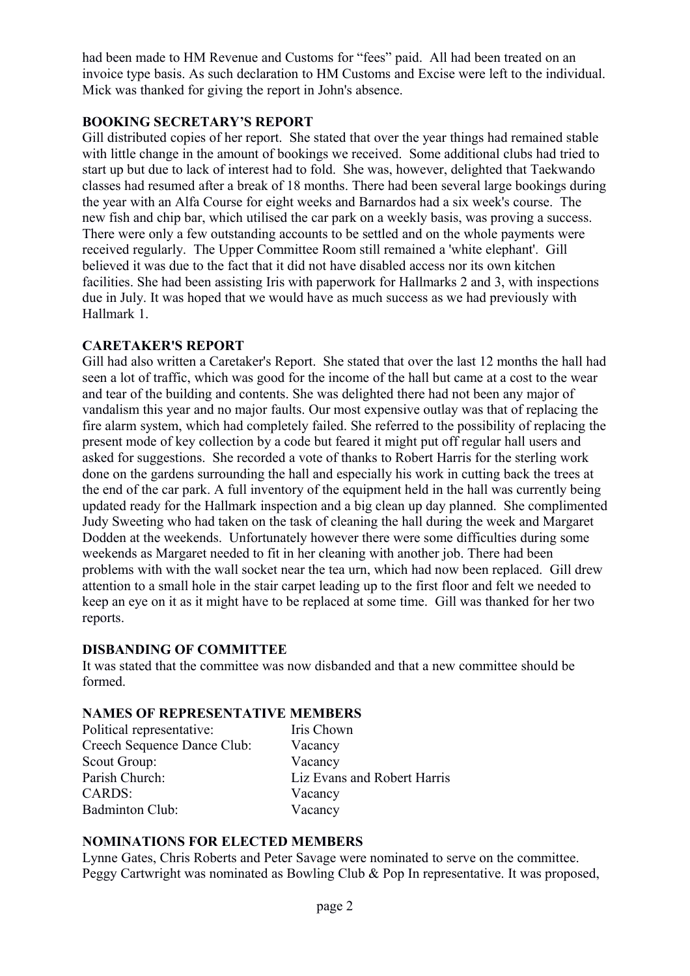had been made to HM Revenue and Customs for "fees" paid. All had been treated on an invoice type basis. As such declaration to HM Customs and Excise were left to the individual. Mick was thanked for giving the report in John's absence.

# **BOOKING SECRETARY'S REPORT**

Gill distributed copies of her report. She stated that over the year things had remained stable with little change in the amount of bookings we received. Some additional clubs had tried to start up but due to lack of interest had to fold. She was, however, delighted that Taekwando classes had resumed after a break of 18 months. There had been several large bookings during the year with an Alfa Course for eight weeks and Barnardos had a six week's course. The new fish and chip bar, which utilised the car park on a weekly basis, was proving a success. There were only a few outstanding accounts to be settled and on the whole payments were received regularly. The Upper Committee Room still remained a 'white elephant'. Gill believed it was due to the fact that it did not have disabled access nor its own kitchen facilities. She had been assisting Iris with paperwork for Hallmarks 2 and 3, with inspections due in July. It was hoped that we would have as much success as we had previously with Hallmark 1.

# **CARETAKER'S REPORT**

Gill had also written a Caretaker's Report. She stated that over the last 12 months the hall had seen a lot of traffic, which was good for the income of the hall but came at a cost to the wear and tear of the building and contents. She was delighted there had not been any major of vandalism this year and no major faults. Our most expensive outlay was that of replacing the fire alarm system, which had completely failed. She referred to the possibility of replacing the present mode of key collection by a code but feared it might put off regular hall users and asked for suggestions. She recorded a vote of thanks to Robert Harris for the sterling work done on the gardens surrounding the hall and especially his work in cutting back the trees at the end of the car park. A full inventory of the equipment held in the hall was currently being updated ready for the Hallmark inspection and a big clean up day planned. She complimented Judy Sweeting who had taken on the task of cleaning the hall during the week and Margaret Dodden at the weekends. Unfortunately however there were some difficulties during some weekends as Margaret needed to fit in her cleaning with another job. There had been problems with with the wall socket near the tea urn, which had now been replaced. Gill drew attention to a small hole in the stair carpet leading up to the first floor and felt we needed to keep an eye on it as it might have to be replaced at some time. Gill was thanked for her two reports.

# **DISBANDING OF COMMITTEE**

It was stated that the committee was now disbanded and that a new committee should be formed.

# **NAMES OF REPRESENTATIVE MEMBERS**

Political representative: Iris Chown Creech Sequence Dance Club: Vacancy Scout Group: Vacancy Parish Church: Liz Evans and Robert Harris CARDS: Vacancy Badminton Club: Vacancy

# **NOMINATIONS FOR ELECTED MEMBERS**

Lynne Gates, Chris Roberts and Peter Savage were nominated to serve on the committee. Peggy Cartwright was nominated as Bowling Club & Pop In representative. It was proposed,